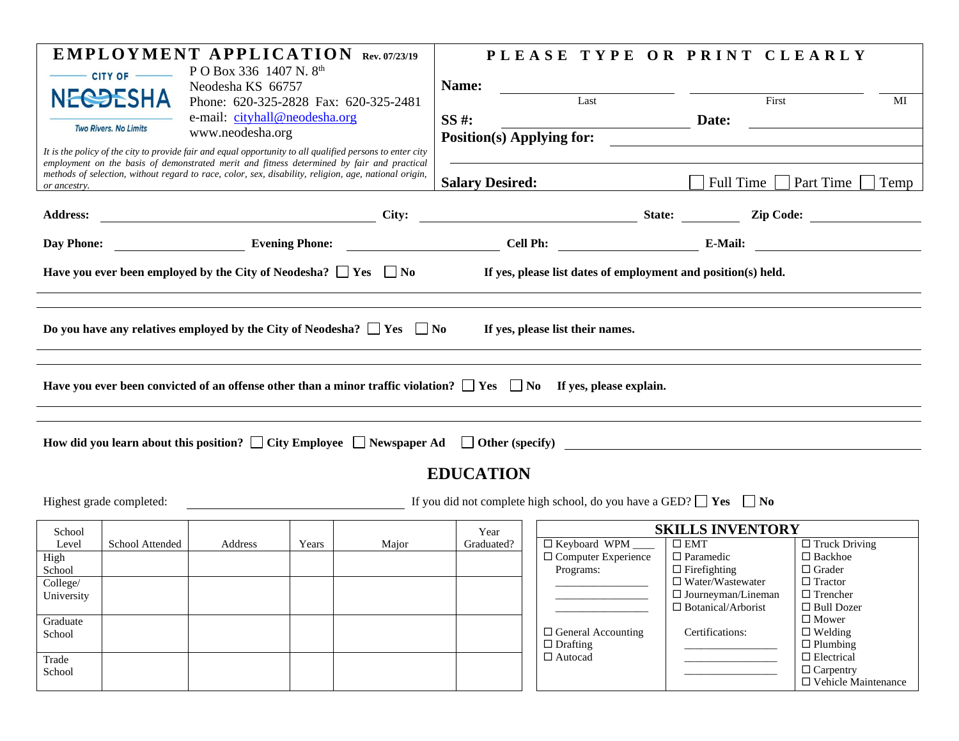| <b>NECOESHA</b>                                                                                                                                                                                                     | CITY OF         | <b>EMPLOYMENT APPLICATION Rev. 07/23/19</b><br>P O Box 336 1407 N. 8th<br>Neodesha KS 66757<br>Phone: 620-325-2828 Fax: 620-325-2481 |                        |       | Name:            |  | PLEASE TYPE OR PRINT CLEARLY<br>Last                                                                                                                                                                                                                                                                                                                                                                                   |  | First                                   |                                       | MI |
|---------------------------------------------------------------------------------------------------------------------------------------------------------------------------------------------------------------------|-----------------|--------------------------------------------------------------------------------------------------------------------------------------|------------------------|-------|------------------|--|------------------------------------------------------------------------------------------------------------------------------------------------------------------------------------------------------------------------------------------------------------------------------------------------------------------------------------------------------------------------------------------------------------------------|--|-----------------------------------------|---------------------------------------|----|
| <b>Two Rivers. No Limits</b>                                                                                                                                                                                        |                 | e-mail: cityhall@neodesha.org                                                                                                        |                        |       | SS #:            |  |                                                                                                                                                                                                                                                                                                                                                                                                                        |  |                                         |                                       |    |
|                                                                                                                                                                                                                     |                 | www.neodesha.org                                                                                                                     |                        |       |                  |  | <b>Position(s) Applying for:</b>                                                                                                                                                                                                                                                                                                                                                                                       |  |                                         |                                       |    |
|                                                                                                                                                                                                                     |                 | It is the policy of the city to provide fair and equal opportunity to all qualified persons to enter city                            |                        |       |                  |  |                                                                                                                                                                                                                                                                                                                                                                                                                        |  |                                         |                                       |    |
| employment on the basis of demonstrated merit and fitness determined by fair and practical<br>methods of selection, without regard to race, color, sex, disability, religion, age, national origin,<br>or ancestry. |                 |                                                                                                                                      | <b>Salary Desired:</b> |       |                  |  | Full Time     Part Time  <br>Temp                                                                                                                                                                                                                                                                                                                                                                                      |  |                                         |                                       |    |
|                                                                                                                                                                                                                     |                 |                                                                                                                                      |                        |       |                  |  |                                                                                                                                                                                                                                                                                                                                                                                                                        |  |                                         |                                       |    |
|                                                                                                                                                                                                                     |                 |                                                                                                                                      |                        |       |                  |  |                                                                                                                                                                                                                                                                                                                                                                                                                        |  |                                         |                                       |    |
| Have you ever been employed by the City of Neodesha? $\Box$ Yes $\Box$ No<br>If yes, please list dates of employment and position(s) held.                                                                          |                 |                                                                                                                                      |                        |       |                  |  |                                                                                                                                                                                                                                                                                                                                                                                                                        |  |                                         |                                       |    |
| Do you have any relatives employed by the City of Neodesha? $\Box$ Yes $\Box$ No<br>If yes, please list their names.                                                                                                |                 |                                                                                                                                      |                        |       |                  |  |                                                                                                                                                                                                                                                                                                                                                                                                                        |  |                                         |                                       |    |
| Have you ever been convicted of an offense other than a minor traffic violation? $\Box$ Yes $\Box$ No If yes, please explain.                                                                                       |                 |                                                                                                                                      |                        |       |                  |  |                                                                                                                                                                                                                                                                                                                                                                                                                        |  |                                         |                                       |    |
| How did you learn about this position? $\Box$ City Employee $\Box$ Newspaper Ad $\Box$ Other (specify)                                                                                                              |                 |                                                                                                                                      |                        |       |                  |  |                                                                                                                                                                                                                                                                                                                                                                                                                        |  |                                         |                                       |    |
|                                                                                                                                                                                                                     |                 |                                                                                                                                      |                        |       | <b>EDUCATION</b> |  |                                                                                                                                                                                                                                                                                                                                                                                                                        |  |                                         |                                       |    |
| If you did not complete high school, do you have a GED? $\Box$ Yes $\Box$ No<br>Highest grade completed:                                                                                                            |                 |                                                                                                                                      |                        |       |                  |  |                                                                                                                                                                                                                                                                                                                                                                                                                        |  |                                         |                                       |    |
| School                                                                                                                                                                                                              |                 |                                                                                                                                      |                        |       | Year             |  |                                                                                                                                                                                                                                                                                                                                                                                                                        |  | <b>SKILLS INVENTORY</b>                 |                                       |    |
| Level                                                                                                                                                                                                               | School Attended | Address                                                                                                                              | Years                  | Major | Graduated?       |  | $\Box$ Keyboard WPM                                                                                                                                                                                                                                                                                                                                                                                                    |  | $\square$ EMT                           | $\Box$ Truck Driving                  |    |
| High<br>School                                                                                                                                                                                                      |                 |                                                                                                                                      |                        |       |                  |  | $\Box$ Computer Experience<br>Programs:                                                                                                                                                                                                                                                                                                                                                                                |  | $\Box$ Paramedic<br>$\Box$ Firefighting | $\Box$ Backhoe<br>$\Box$ Grader       |    |
| College/                                                                                                                                                                                                            |                 |                                                                                                                                      |                        |       |                  |  | $\begin{tabular}{ccccc} \multicolumn{3}{c }{\textbf{1} & \textbf{2} & \textbf{3} & \textbf{4} & \textbf{5} & \textbf{5} & \textbf{6} & \textbf{6} & \textbf{7} & \textbf{8} & \textbf{8} & \textbf{9} & \textbf{9} & \textbf{10} & \textbf{10} & \textbf{10} & \textbf{10} & \textbf{10} & \textbf{10} & \textbf{10} & \textbf{10} & \textbf{10} & \textbf{10} & \textbf{10} & \textbf{10} & \textbf{10} & \textbf{10$ |  | $\Box$ Water/Wastewater                 | $\Box$ Tractor                        |    |
| University                                                                                                                                                                                                          |                 |                                                                                                                                      |                        |       |                  |  |                                                                                                                                                                                                                                                                                                                                                                                                                        |  | $\Box$ Journeyman/Lineman               | $\Box$ Trencher                       |    |
| Graduate                                                                                                                                                                                                            |                 |                                                                                                                                      |                        |       |                  |  |                                                                                                                                                                                                                                                                                                                                                                                                                        |  | $\Box$ Botanical/Arborist               | $\Box$ Bull Dozer<br>$\square$ Mower  |    |
| School                                                                                                                                                                                                              |                 |                                                                                                                                      |                        |       |                  |  | $\Box$ General Accounting<br>$\Box$ Drafting                                                                                                                                                                                                                                                                                                                                                                           |  | Certifications:                         | $\Box$ Welding<br>$\Box$ Plumbing     |    |
| Trade                                                                                                                                                                                                               |                 |                                                                                                                                      |                        |       |                  |  | □ Autocad                                                                                                                                                                                                                                                                                                                                                                                                              |  |                                         | $\Box$ Electrical<br>$\Box$ Carpentry |    |
| School                                                                                                                                                                                                              |                 |                                                                                                                                      |                        |       |                  |  |                                                                                                                                                                                                                                                                                                                                                                                                                        |  |                                         | $\square$ Vehicle Maintenance         |    |